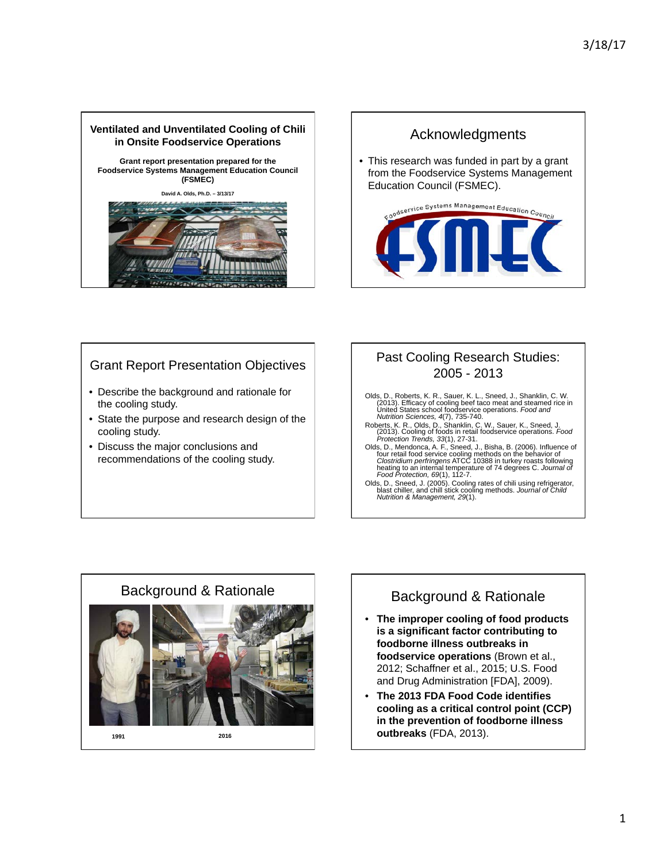



# Grant Report Presentation Objectives

- Describe the background and rationale for the cooling study.
- State the purpose and research design of the cooling study.
- Discuss the major conclusions and recommendations of the cooling study.

## Past Cooling Research Studies: 2005 - 2013

- Olds, D., Roberts, K. R., Sauer, K. L., Sneed, J., Shanklin, C. W.<br>(2013). Efficacy of cooling beef taco meat and steamed rice in<br>United States school foodservice operations. *Food and*<br>Mutrition Sciences, 4(7), 735-740.
- Roberts, K. R., Olds, D., Shanklin, C. W., Sauer, K., Sneed, J. (2013). Cooling of foods in retail foodservice operations. *Food Protection Trends, 33*(1), 27-31.
- Olds, D., Mendonca, A. F., Sneed, J., Bisha, B. (2006). Influence of<br>four retail food service cooling methods on the behavior of<br>*Clostridium perfringens* ATCC 10388 in turkey roasts following<br>heating to an internal temper
- Olds, D., Sneed, J. (2005). Cooling rates of chili using refrigerator,<br>blast chiller, and chill stick cooling methods. *Journal of Child*<br>*Nutrition & Management, 29*(1).



# Background & Rationale

- **The improper cooling of food products is a significant factor contributing to foodborne illness outbreaks in foodservice operations** (Brown et al., 2012; Schaffner et al., 2015; U.S. Food and Drug Administration [FDA], 2009).
- **The 2013 FDA Food Code identifies cooling as a critical control point (CCP) in the prevention of foodborne illness outbreaks** (FDA, 2013).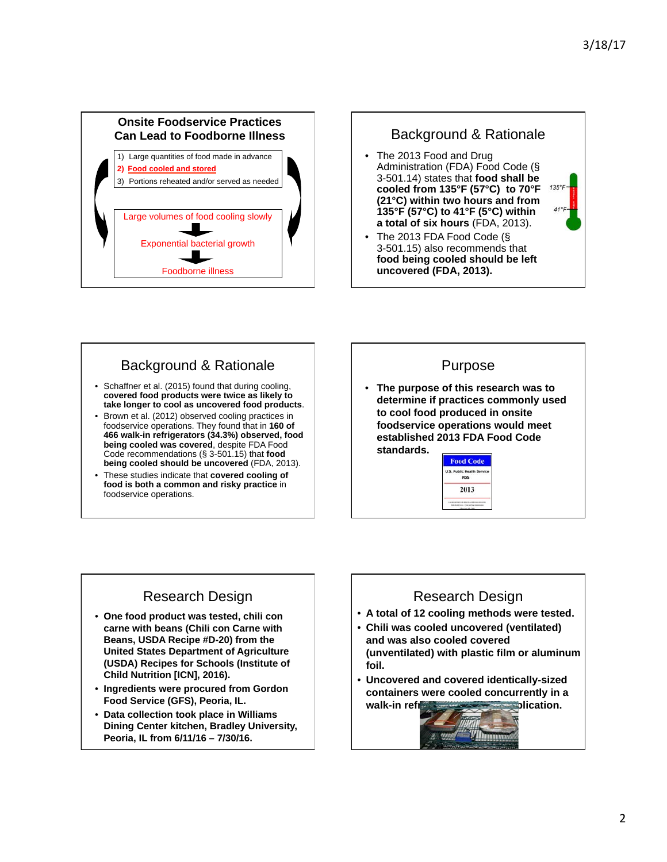



# Background & Rationale

- Schaffner et al. (2015) found that during cooling, **covered food products were twice as likely to take longer to cool as uncovered food products**.
- Brown et al. (2012) observed cooling practices in foodservice operations. They found that in **160 of 466 walk-in refrigerators (34.3%) observed, food being cooled was covered**, despite FDA Food Code recommendations (§ 3-501.15) that **food being cooled should be uncovered** (FDA, 2013).
- These studies indicate that **covered cooling of food is both a common and risky practice** in foodservice operations.

# Purpose • **The purpose of this research was to determine if practices commonly used to cool food produced in onsite foodservice operations would meet**

**established 2013 FDA Food Code standards.** 



# Research Design

- **One food product was tested, chili con carne with beans (Chili con Carne with Beans, USDA Recipe #D-20) from the United States Department of Agriculture (USDA) Recipes for Schools (Institute of Child Nutrition [ICN], 2016).**
- **Ingredients were procured from Gordon Food Service (GFS), Peoria, IL.**
- **Data collection took place in Williams Dining Center kitchen, Bradley University, Peoria, IL from 6/11/16 – 7/30/16.**

# Research Design

- **A total of 12 cooling methods were tested.**
- **Chili was cooled uncovered (ventilated) and was also cooled covered (unventilated) with plastic film or aluminum foil.**
- **Uncovered and covered identically-sized containers were cooled concurrently in a**  walk-in reflection **walk-in**

Winn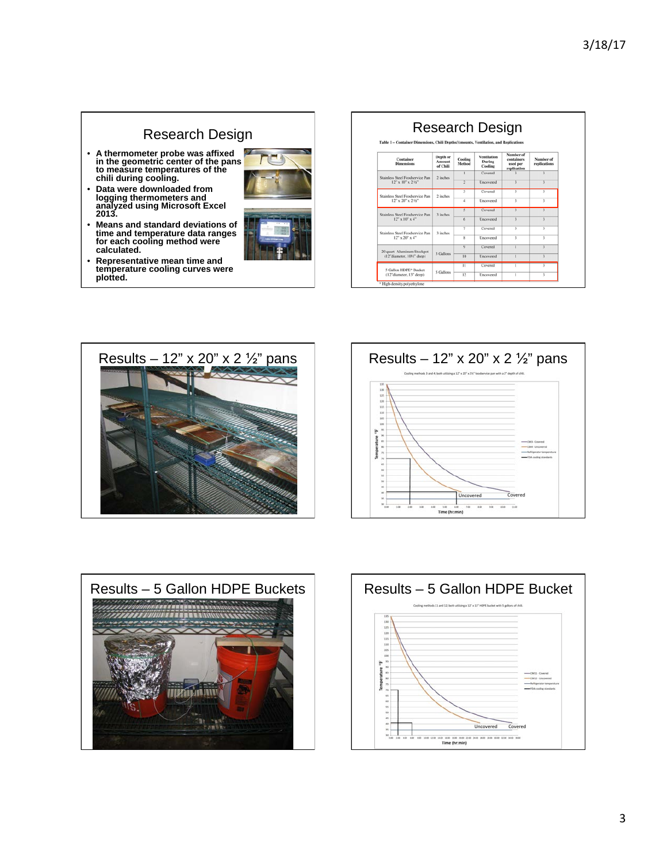### Research Design Research Design Table 1 - Container Di • **A thermometer probe was affixed in the geometric center of the pans to measure temperatures of the chili during cooling.**  Depth or<br>Amount<br>of Chili Number of<br>replications **Container**<br>Dimensions **Cooling**<br>Method **Pentilation**<br>During<br>Cooling containers<br>used per<br>rentication Covered tss Steel Foodservice Pan<br>  $12^{\circ}$  x  $10^{\circ}$  x  $2\frac{1}{2}^{\circ}$  $2$  inches Und • **Data were downloaded from logging thermometers and analyzed using Microsoft Excel 2013.**  ss Steel Foodservice Pan<br>12" x 20" x 2 1/2" 2 inche Uncovered Courses ss Steel Foodservice Pan<br>12" x 10" x 4" 3 inche Uncovered • **Means and standard deviations of time and temperature data ranges for each cooling method were**  Cow ss Steel Foodservice Pan<br>12" x 20" x 4" 3 inche Uncovered Covered **calculated.**  20 quart Aluminum Stockpot<br>(12"diameter, 10%" deep) 3 Gallor Unco • **Representative mean time and**  Covered **temperature cooling curves were**  5 Gallon HDPE\* Bucket<br>(12"diameter, 13" deep) 5 Gallons Uncovered  $12$ **plotted.**